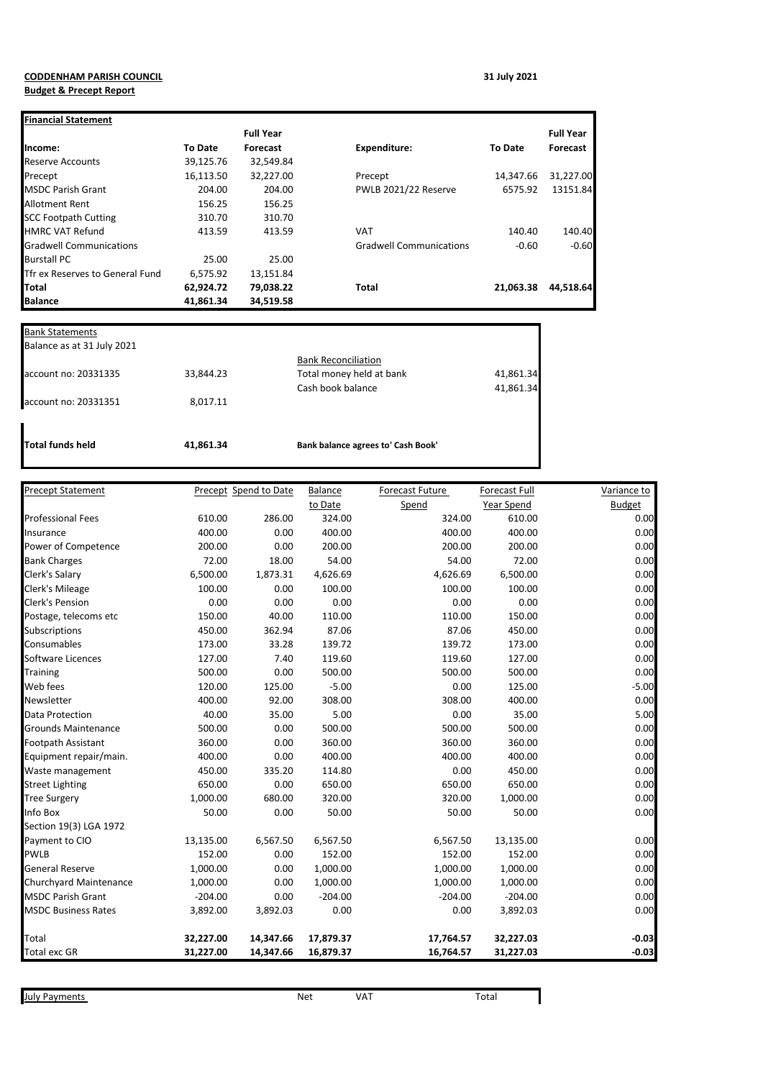## **CODDENHAM PARISH COUNCIL 31 July 2021 Budget & Precept Report**

| <b>Financial Statement</b>             |                |                  |                                |                |                  |
|----------------------------------------|----------------|------------------|--------------------------------|----------------|------------------|
|                                        |                | <b>Full Year</b> |                                |                | <b>Full Year</b> |
| Income:                                | <b>To Date</b> | <b>Forecast</b>  | <b>Expenditure:</b>            | <b>To Date</b> | Forecast         |
| <b>Reserve Accounts</b>                | 39,125.76      | 32,549.84        |                                |                |                  |
| Precept                                | 16,113.50      | 32,227.00        | Precept                        | 14,347.66      | 31,227.00        |
| <b>IMSDC Parish Grant</b>              | 204.00         | 204.00           | PWLB 2021/22 Reserve           | 6575.92        | 13151.84         |
| <b>Allotment Rent</b>                  | 156.25         | 156.25           |                                |                |                  |
| <b>SCC Footpath Cutting</b>            | 310.70         | 310.70           |                                |                |                  |
| <b>HMRC VAT Refund</b>                 | 413.59         | 413.59           | <b>VAT</b>                     | 140.40         | 140.40           |
| <b>Gradwell Communications</b>         |                |                  | <b>Gradwell Communications</b> | $-0.60$        | $-0.60$          |
| <b>Burstall PC</b>                     | 25.00          | 25.00            |                                |                |                  |
| <b>Theory Reserves to General Fund</b> | 6,575.92       | 13,151.84        |                                |                |                  |
| Total                                  | 62,924.72      | 79,038.22        | <b>Total</b>                   | 21.063.38      | 44,518.64        |
| <b>Balance</b>                         | 41,861.34      | 34,519.58        |                                |                |                  |

| <b>Total funds held</b>    | 41,861.34 | Bank balance agrees to' Cash Book'                     |           |
|----------------------------|-----------|--------------------------------------------------------|-----------|
| account no: 20331351       | 8,017.11  |                                                        |           |
|                            |           | Cash book balance                                      | 41,861.34 |
| account no: 20331335       | 33,844.23 | <b>Bank Reconciliation</b><br>Total money held at bank | 41,861.34 |
| Balance as at 31 July 2021 |           |                                                        |           |
| <b>Bank Statements</b>     |           |                                                        |           |

| <b>Precept Statement</b>   |           | Precept Spend to Date | Balance   | Forecast Future | Forecast Full | Variance to   |
|----------------------------|-----------|-----------------------|-----------|-----------------|---------------|---------------|
|                            |           |                       | to Date   | Spend           | Year Spend    | <b>Budget</b> |
| <b>Professional Fees</b>   | 610.00    | 286.00                | 324.00    | 324.00          | 610.00        | 0.00          |
| Insurance                  | 400.00    | 0.00                  | 400.00    | 400.00          | 400.00        | 0.00          |
| Power of Competence        | 200.00    | 0.00                  | 200.00    | 200.00          | 200.00        | 0.00          |
| <b>Bank Charges</b>        | 72.00     | 18.00                 | 54.00     | 54.00           | 72.00         | 0.00          |
| Clerk's Salary             | 6,500.00  | 1,873.31              | 4,626.69  | 4,626.69        | 6,500.00      | 0.00          |
| Clerk's Mileage            | 100.00    | 0.00                  | 100.00    | 100.00          | 100.00        | 0.00          |
| Clerk's Pension            | 0.00      | 0.00                  | 0.00      | 0.00            | 0.00          | 0.00          |
| Postage, telecoms etc      | 150.00    | 40.00                 | 110.00    | 110.00          | 150.00        | 0.00          |
| Subscriptions              | 450.00    | 362.94                | 87.06     | 87.06           | 450.00        | 0.00          |
| Consumables                | 173.00    | 33.28                 | 139.72    | 139.72          | 173.00        | 0.00          |
| Software Licences          | 127.00    | 7.40                  | 119.60    | 119.60          | 127.00        | 0.00          |
| <b>Training</b>            | 500.00    | 0.00                  | 500.00    | 500.00          | 500.00        | 0.00          |
| Web fees                   | 120.00    | 125.00                | $-5.00$   | 0.00            | 125.00        | $-5.00$       |
| Newsletter                 | 400.00    | 92.00                 | 308.00    | 308.00          | 400.00        | 0.00          |
| Data Protection            | 40.00     | 35.00                 | 5.00      | 0.00            | 35.00         | 5.00          |
| <b>Grounds Maintenance</b> | 500.00    | 0.00                  | 500.00    | 500.00          | 500.00        | 0.00          |
| <b>Footpath Assistant</b>  | 360.00    | 0.00                  | 360.00    | 360.00          | 360.00        | 0.00          |
| Equipment repair/main.     | 400.00    | 0.00                  | 400.00    | 400.00          | 400.00        | 0.00          |
| Waste management           | 450.00    | 335.20                | 114.80    | 0.00            | 450.00        | 0.00          |
| <b>Street Lighting</b>     | 650.00    | 0.00                  | 650.00    | 650.00          | 650.00        | 0.00          |
| <b>Tree Surgery</b>        | 1,000.00  | 680.00                | 320.00    | 320.00          | 1,000.00      | 0.00          |
| Info Box                   | 50.00     | 0.00                  | 50.00     | 50.00           | 50.00         | 0.00          |
| Section 19(3) LGA 1972     |           |                       |           |                 |               |               |
| Payment to CIO             | 13,135.00 | 6,567.50              | 6,567.50  | 6,567.50        | 13,135.00     | 0.00          |
| <b>PWLB</b>                | 152.00    | 0.00                  | 152.00    | 152.00          | 152.00        | 0.00          |
| <b>General Reserve</b>     | 1,000.00  | 0.00                  | 1,000.00  | 1,000.00        | 1,000.00      | 0.00          |
| Churchyard Maintenance     | 1,000.00  | 0.00                  | 1,000.00  | 1,000.00        | 1,000.00      | 0.00          |
| <b>MSDC Parish Grant</b>   | $-204.00$ | 0.00                  | $-204.00$ | $-204.00$       | $-204.00$     | 0.00          |
| <b>MSDC Business Rates</b> | 3,892.00  | 3,892.03              | 0.00      | 0.00            | 3,892.03      | 0.00          |
| Total                      | 32,227.00 | 14,347.66             | 17,879.37 | 17,764.57       | 32,227.03     | $-0.03$       |
| <b>Total exc GR</b>        | 31,227.00 | 14,347.66             | 16,879.37 | 16,764.57       | 31,227.03     | $-0.03$       |

**July Payments** Total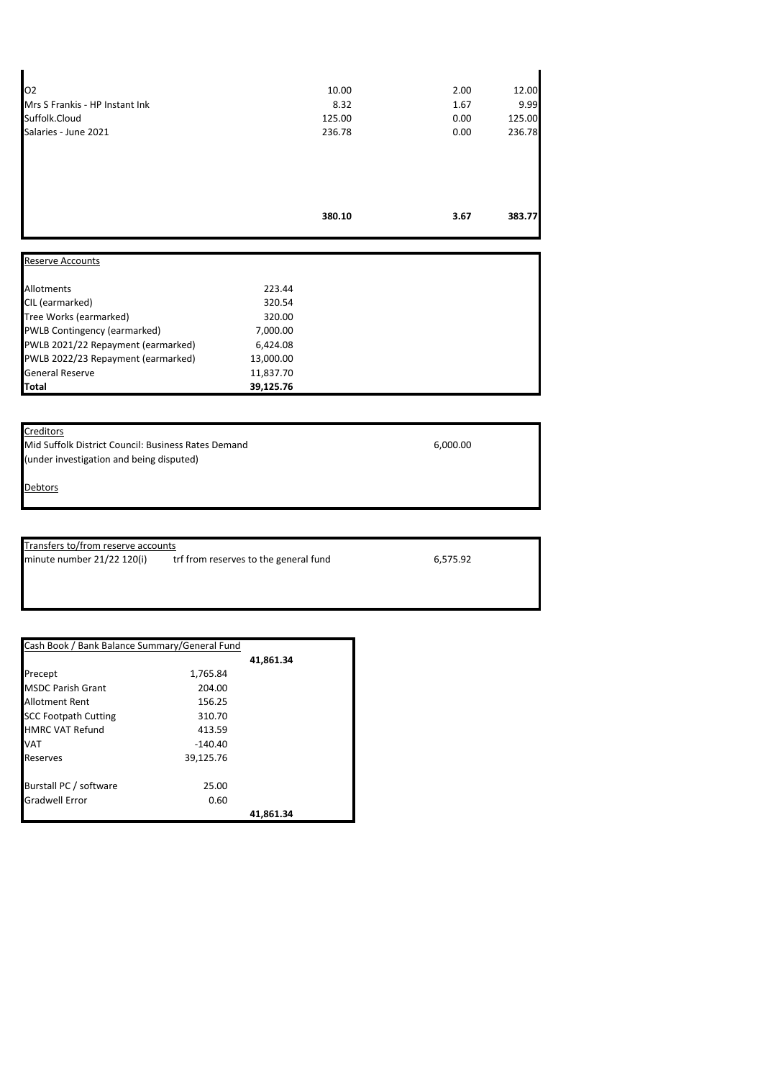|                                | 380.10 | 3.67 | 383.77 |
|--------------------------------|--------|------|--------|
|                                |        |      |        |
| Salaries - June 2021           | 236.78 | 0.00 | 236.78 |
| Suffolk.Cloud                  | 125.00 | 0.00 | 125.00 |
| Mrs S Frankis - HP Instant Ink | 8.32   | 1.67 | 9.99   |
| 02                             | 10.00  | 2.00 | 12.00  |

| <b>Reserve Accounts</b>            |           |
|------------------------------------|-----------|
| Allotments                         | 223.44    |
| CIL (earmarked)                    | 320.54    |
| Tree Works (earmarked)             | 320.00    |
| PWLB Contingency (earmarked)       | 7,000.00  |
| PWLB 2021/22 Repayment (earmarked) | 6,424.08  |
| PWLB 2022/23 Repayment (earmarked) | 13,000.00 |
| <b>General Reserve</b>             | 11,837.70 |
| Total                              | 39,125.76 |

## **Creditors**

J.

Mid Suffolk District Council: Business Rates Demand 6,000.00 (under investigation and being disputed)

**Debtors** 

Transfers to/from reserve accounts<br>minute number 21/22 120(i) tr trf from reserves to the general fund 6,575.92

| Cash Book / Bank Balance Summary/General Fund |           |           |
|-----------------------------------------------|-----------|-----------|
|                                               |           | 41,861.34 |
| Precept                                       | 1,765.84  |           |
| <b>MSDC Parish Grant</b>                      | 204.00    |           |
| <b>Allotment Rent</b>                         | 156.25    |           |
| <b>SCC Footpath Cutting</b>                   | 310.70    |           |
| <b>HMRC VAT Refund</b>                        | 413.59    |           |
| <b>VAT</b>                                    | $-140.40$ |           |
| Reserves                                      | 39,125.76 |           |
| Burstall PC / software                        | 25.00     |           |
| <b>Gradwell Error</b>                         | 0.60      |           |
|                                               |           | 41.861.34 |